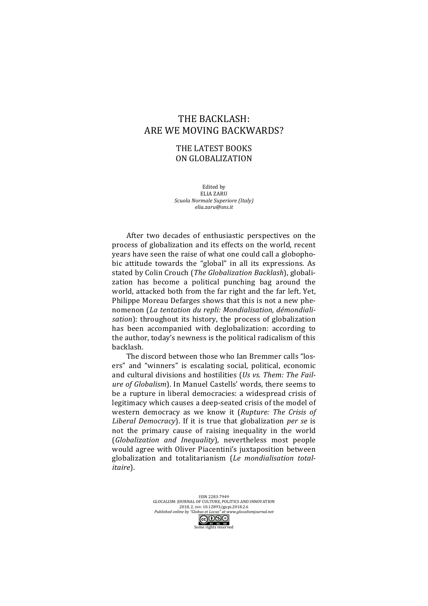## THE BACKLASH: ARE WE MOVING BACKWARDS?

## THE LATEST BOOKS ON GLOBALIZATION

Edited by **ELIA ZARU** *Scuola Normale Superiore (Italy) elia.zaru@sns.it*

After two decades of enthusiastic perspectives on the process of globalization and its effects on the world, recent years have seen the raise of what one could call a globophobic attitude towards the "global" in all its expressions. As stated by Colin Crouch (*The Globalization Backlash*), globalization has become a political punching bag around the world, attacked both from the far right and the far left. Yet, Philippe Moreau Defarges shows that this is not a new phenomenon (La tentation du repli: Mondialisation, démondiali*sation*): throughout its history, the process of globalization has been accompanied with deglobalization: according to the author, today's newness is the political radicalism of this backlash. 

The discord between those who Ian Bremmer calls "losers" and "winners" is escalating social, political, economic and cultural divisions and hostilities (Us vs. Them: The Fail*ure of Globalism*). In Manuel Castells' words, there seems to be a rupture in liberal democracies: a widespread crisis of legitimacy which causes a deep-seated crisis of the model of western democracy as we know it (*Rupture: The Crisis of Liberal Democracy*). If it is true that globalization *per se* is not the primary cause of raising inequality in the world (*Globalization and Inequality*), nevertheless most people would agree with Oliver Piacentini's juxtaposition between globalization and totalitarianism (*Le mondialisation totalitaire*). 

> ISSN 2283-7949 GLOCALISM: JOURNAL OF CULTURE, POLITICS AND INNOVATION 2018, 2, DOI: 10.12893/gjcpi.2018.2.6 *Published online by "Globus et Locus" at www.glocalismjournal.net*  $\bigodot_{\text{BV}} \bigodot_{\text{W}} \bigodot_{\text{W}} \bigodot_{\text{W}}$ <br>ome rights reserved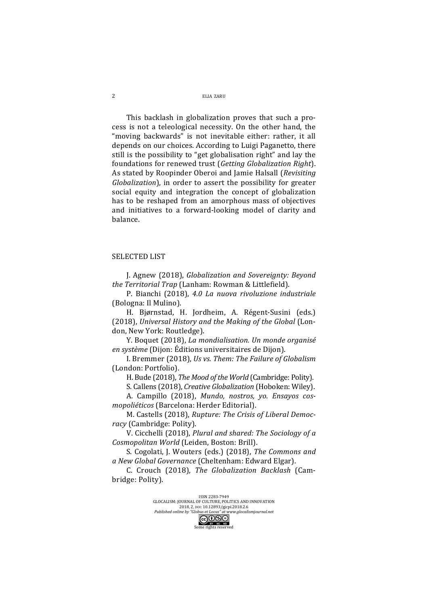ELIA 7ARU

This backlash in globalization proves that such a process is not a teleological necessity. On the other hand, the "moving backwards" is not inevitable either: rather, it all depends on our choices. According to Luigi Paganetto, there still is the possibility to "get globalisation right" and lay the foundations for renewed trust (*Getting Globalization Right*). As stated by Roopinder Oberoi and Jamie Halsall (*Revisiting Globalization*), in order to assert the possibility for greater social equity and integration the concept of globalization has to be reshaped from an amorphous mass of objectives and initiatives to a forward-looking model of clarity and balance. 

## **SELECTED LIST**

J. Agnew (2018), *Globalization and Sovereignty: Beyond*  the Territorial Trap (Lanham: Rowman & Littlefield).

P. Bianchi (2018), 4.0 La nuova rivoluzione industriale (Bologna: Il Mulino).

H. Bjørnstad, H. Jordheim, A. Régent-Susini (eds.) (2018), Universal History and the Making of the Global (London, New York: Routledge).

Y. Boquet (2018), *La mondialisation. Un monde organisé en système* (Dijon: Éditions universitaires de Dijon).

I. Bremmer (2018), *Us vs. Them: The Failure of Globalism* (London: Portfolio).

H. Bude (2018), *The Mood of the World* (Cambridge: Polity).

S. Callens (2018), *Creative Globalization* (Hoboken: Wiley).

A. Campillo (2018), *Mundo, nostros, yo. Ensayos cosmopoliéticos* (Barcelona: Herder Editorial).

M. Castells (2018), *Rupture: The Crisis of Liberal Democracy* (Cambridge: Polity).

V. Cicchelli (2018), *Plural and shared: The Sociology of a Cosmopolitan World* (Leiden, Boston: Brill).

S. Cogolati, J. Wouters (eds.) (2018), *The Commons and a New Global Governance* (Cheltenham: Edward Elgar).

C. Crouch (2018), *The Globalization Backlash* (Cambridge: Polity).

ISSN 2283-7949

GLOCALISM: JOURNAL OF CULTURE, POLITICS AND INNOVATION 2018, 2, DOI: 10.12893/gjcpi.2018.2.6 *Published online by "Globus et Locus" at www.glocalismjournal.net* 

ne rights reserved

 $\overline{2}$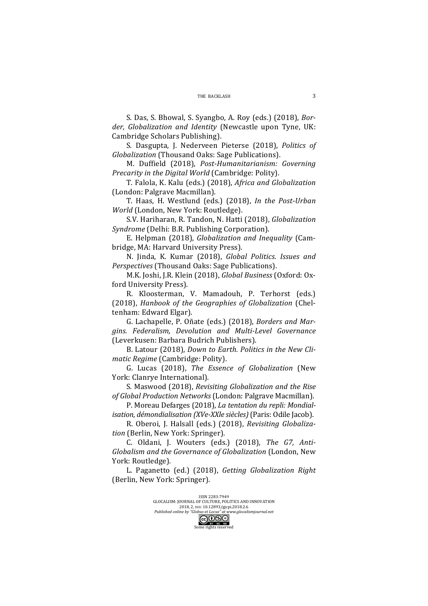S. Das, S. Bhowal, S. Syangbo, A. Roy (eds.) (2018), *Bor*der, Globalization and Identity (Newcastle upon Tyne, UK: Cambridge Scholars Publishing).

S. Dasgupta, J. Nederveen Pieterse (2018), *Politics of Globalization* (Thousand Oaks: Sage Publications).

M. Duffield (2018), Post-Humanitarianism: Governing *Precarity in the Digital World* (Cambridge: Polity).

T. Falola, K. Kalu (eds.) (2018), *Africa and Globalization* (London: Palgrave Macmillan).

T. Haas, H. Westlund (eds.) (2018), *In the Post-Urban World* (London, New York: Routledge).

S.V. Hariharan, R. Tandon, N. Hatti (2018), *Globalization Syndrome* (Delhi: B.R. Publishing Corporation).

E. Helpman (2018), *Globalization and Inequality* (Cambridge, MA: Harvard University Press).

N. Jinda, K. Kumar (2018), *Global Politics. Issues and Perspectives* (Thousand Oaks: Sage Publications).

M.K. Joshi, J.R. Klein (2018), *Global Business* (Oxford: Oxford University Press).

R. Kloosterman, V. Mamadouh, P. Terhorst (eds.) (2018), *Hanbook of the Geographies of Globalization* (Cheltenham: Edward Elgar).

G. Lachapelle, P. Oñate (eds.) (2018), *Borders and Margins. Federalism, Devolution and Multi-Level Governance* (Leverkusen: Barbara Budrich Publishers).

B. Latour (2018), *Down to Earth. Politics in the New Climatic Regime* (Cambridge: Polity).

G. Lucas (2018), *The Essence of Globalization* (New York: Clanrye International).

S. Maswood (2018), *Revisiting Globalization and the Rise* of Global Production Networks (London: Palgrave Macmillan).

P. Moreau Defarges (2018), *La tentation du repli: Mondialisation, démondialisation (XVe-XXle siècles)* (Paris: Odile Jacob).

R. Oberoi, J. Halsall (eds.) (2018), *Revisiting Globaliza*tion (Berlin, New York: Springer).

C. Oldani, J. Wouters (eds.) (2018), *The G7, Anti-Globalism and the Governance of Globalization* (London, New York: Routledge).

L. Paganetto (ed.) (2018), *Getting Globalization Right* (Berlin, New York: Springer).

> ISSN 2283-7949 GLOCALISM: JOURNAL OF CULTURE, POLITICS AND INNOVATION 2018, 2, DOI: 10.12893/gjcpi.2018.2.6 *Published online by "Globus et Locus" at www.glocalismjournal.net*<br>  $\boxed{\mathbb{cc} \mathbf{0} \mathbb{S}^{\square}}$ he rights reserved